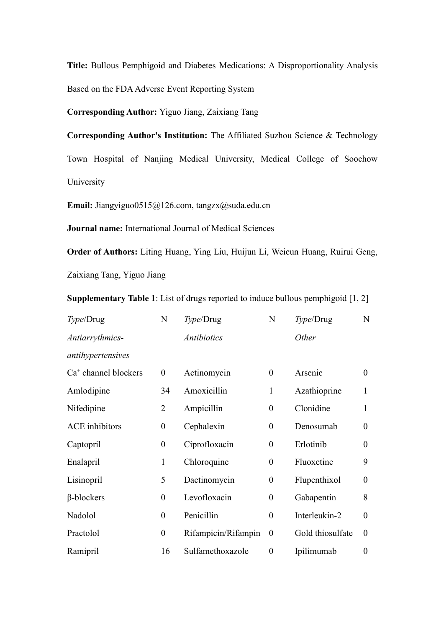**Title:** Bullous Pemphigoid and Diabetes Medications: A Disproportionality Analysis Based on the FDA Adverse Event Reporting System

**Corresponding Author:** Yiguo Jiang, Zaixiang Tang

**Corresponding Author's Institution:** The Affiliated Suzhou Science & Technology Town Hospital of Nanjing Medical University, Medical College of Soochow University

**Email:** Jiangyiguo0515@126.com, tangzx@suda.edu.cn

**Journal name:** International Journal of Medical Sciences

**Order of Authors:** Liting Huang, Ying Liu, Huijun Li, Weicun Huang, Ruirui Geng, Zaixiang Tang, Yiguo Jiang

**Supplementary Table 1**: List of drugs reported to induce bullous pemphigoid [1, 2]

| Type/Drug              | $\mathbf N$      | Type/Drug           | ${\bf N}$        | Type/Drug        | N                |
|------------------------|------------------|---------------------|------------------|------------------|------------------|
| Antiarrythmics-        |                  | <b>Antibiotics</b>  |                  | Other            |                  |
| antihypertensives      |                  |                     |                  |                  |                  |
| $Ca+$ channel blockers | $\boldsymbol{0}$ | Actinomycin         | $\boldsymbol{0}$ | Arsenic          | $\boldsymbol{0}$ |
| Amlodipine             | 34               | Amoxicillin         | 1                | Azathioprine     | $\mathbf{1}$     |
| Nifedipine             | $\overline{2}$   | Ampicillin          | $\overline{0}$   | Clonidine        | $\mathbf{1}$     |
| <b>ACE</b> inhibitors  | $\boldsymbol{0}$ | Cephalexin          | $\boldsymbol{0}$ | Denosumab        | $\boldsymbol{0}$ |
| Captopril              | $\boldsymbol{0}$ | Ciprofloxacin       | $\boldsymbol{0}$ | Erlotinib        | $\boldsymbol{0}$ |
| Enalapril              | 1                | Chloroquine         | $\boldsymbol{0}$ | Fluoxetine       | 9                |
| Lisinopril             | 5                | Dactinomycin        | $\boldsymbol{0}$ | Flupenthixol     | $\boldsymbol{0}$ |
| $\beta$ -blockers      | $\boldsymbol{0}$ | Levofloxacin        | $\boldsymbol{0}$ | Gabapentin       | 8                |
| Nadolol                | $\overline{0}$   | Penicillin          | $\boldsymbol{0}$ | Interleukin-2    | $\boldsymbol{0}$ |
| Practolol              | $\overline{0}$   | Rifampicin/Rifampin | $\bf{0}$         | Gold thiosulfate | $\boldsymbol{0}$ |
| Ramipril               | 16               | Sulfamethoxazole    | $\boldsymbol{0}$ | Ipilimumab       | $\boldsymbol{0}$ |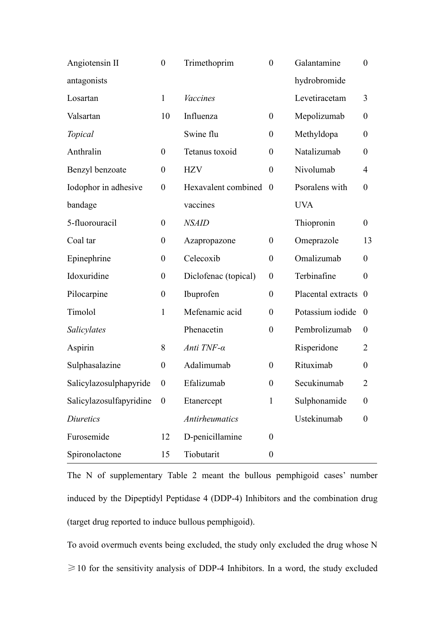| Angiotensin II          | $\boldsymbol{0}$ | Trimethoprim          | $\boldsymbol{0}$ | Galantamine          | $\boldsymbol{0}$ |
|-------------------------|------------------|-----------------------|------------------|----------------------|------------------|
| antagonists             |                  |                       |                  | hydrobromide         |                  |
| Losartan                | $\mathbf{1}$     | <b>Vaccines</b>       |                  | Levetiracetam        | 3                |
| Valsartan               | 10               | Influenza             | $\boldsymbol{0}$ | Mepolizumab          | $\boldsymbol{0}$ |
| Topical                 |                  | Swine flu             | $\boldsymbol{0}$ | Methyldopa           | $\boldsymbol{0}$ |
| Anthralin               | $\overline{0}$   | Tetanus toxoid        | $\boldsymbol{0}$ | Natalizumab          | $\boldsymbol{0}$ |
| Benzyl benzoate         | $\boldsymbol{0}$ | <b>HZV</b>            | $\boldsymbol{0}$ | Nivolumab            | 4                |
| Iodophor in adhesive    | $\boldsymbol{0}$ | Hexavalent combined   | $\boldsymbol{0}$ | Psoralens with       | $\boldsymbol{0}$ |
| bandage                 |                  | vaccines              |                  | <b>UVA</b>           |                  |
| 5-fluorouracil          | $\boldsymbol{0}$ | <b>NSAID</b>          |                  | Thiopronin           | $\boldsymbol{0}$ |
| Coal tar                | $\boldsymbol{0}$ | Azapropazone          | $\boldsymbol{0}$ | Omeprazole           | 13               |
| Epinephrine             | $\boldsymbol{0}$ | Celecoxib             | $\boldsymbol{0}$ | Omalizumab           | $\boldsymbol{0}$ |
| Idoxuridine             | $\boldsymbol{0}$ | Diclofenac (topical)  | $\boldsymbol{0}$ | Terbinafine          | $\boldsymbol{0}$ |
| Pilocarpine             | $\boldsymbol{0}$ | Ibuprofen             | $\boldsymbol{0}$ | Placental extracts 0 |                  |
| Timolol                 | $\mathbf{1}$     | Mefenamic acid        | $\boldsymbol{0}$ | Potassium iodide 0   |                  |
| Salicylates             |                  | Phenacetin            | $\boldsymbol{0}$ | Pembrolizumab        | $\boldsymbol{0}$ |
| Aspirin                 | 8                | Anti TNF-α            |                  | Risperidone          | $\overline{2}$   |
| Sulphasalazine          | $\boldsymbol{0}$ | Adalimumab            | $\boldsymbol{0}$ | Rituximab            | $\boldsymbol{0}$ |
| Salicylazosulphapyride  | $\boldsymbol{0}$ | Efalizumab            | $\boldsymbol{0}$ | Secukinumab          | $\overline{2}$   |
| Salicylazosulfapyridine | $\boldsymbol{0}$ | Etanercept            | $\mathbf{1}$     | Sulphonamide         | $\boldsymbol{0}$ |
| <b>Diuretics</b>        |                  | <b>Antirheumatics</b> |                  | Ustekinumab          | $\boldsymbol{0}$ |
| Furosemide              | 12               | D-penicillamine       | $\boldsymbol{0}$ |                      |                  |
| Spironolactone          | 15               | Tiobutarit            | $\boldsymbol{0}$ |                      |                  |

The N of supplementary Table 2 meant the bullous pemphigoid cases' number induced by the Dipeptidyl Peptidase 4 (DDP-4) Inhibitors and the combination drug (target drug reported to induce bullous pemphigoid).

To avoid overmuch events being excluded, the study only excluded the drug whose N  $\geq$  10 for the sensitivity analysis of DDP-4 Inhibitors. In a word, the study excluded